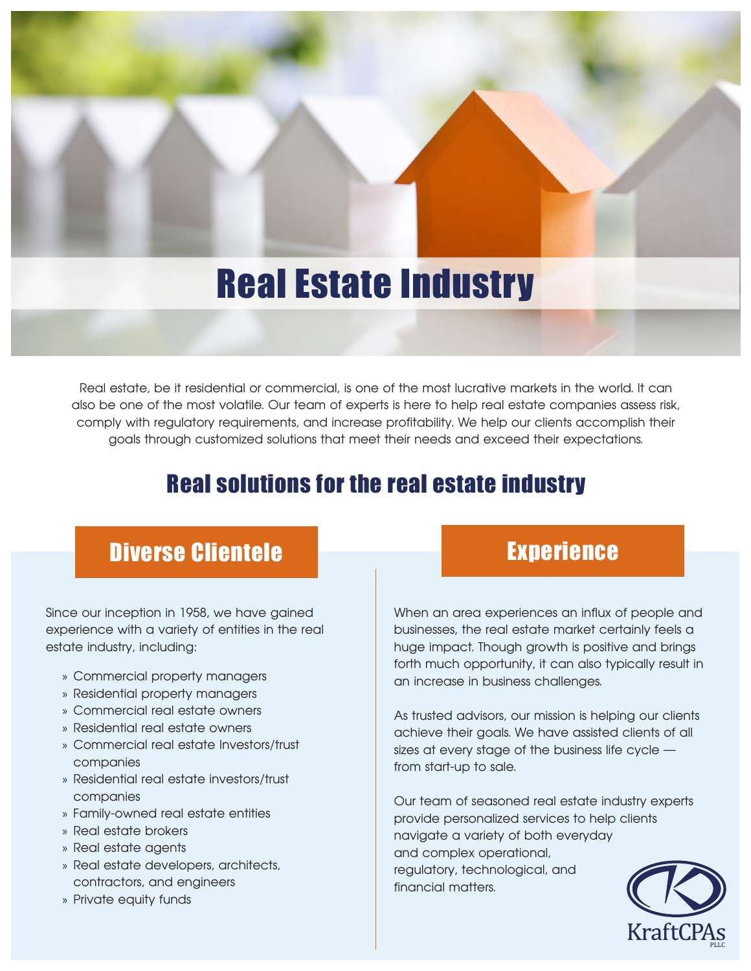## Real Estate Industry

Real estate, be it residential or commercial, is one of the most lucrative markets in the world. It can also be one of the most volatile. Our team of experts is here to help real estate companies assess risk, comply with regulatory requirements, and increase profitability. We help our clients accomplish their goals through customized solutions that meet their needs and exceed their expectations.

## Real solutions for the real estate industry

## Diverse Clientele **Experience**

Since our inception in 1958, we have gained experience with a variety of entities in the real estate industry, including:

- » Commercial property managers
- » Residential property managers
- » Commercial real estate owners
- » Residential real estate owners
- » Commercial real estate Investors/trust companies
- » Residential real estate investors/trust companies
- » Family-owned real estate entities
- » Real estate brokers
- » Real estate agents
- » Real estate developers, architects, contractors, and engineers
- » Private equity funds

When an area experiences an influx of people and businesses, the real estate market certainly feels a huge impact. Though growth is positive and brings forth much opportunity, it can also typically result in an increase in business challenges.

As trusted advisors, our mission is helping our clients achieve their goals. We have assisted clients of all sizes at every stage of the business life cycle from start-up to sale.

Our team of seasoned real estate industry experts provide personalized services to help clients navigate a variety of both everyday and complex operational, regulatory, technological, and financial matters.